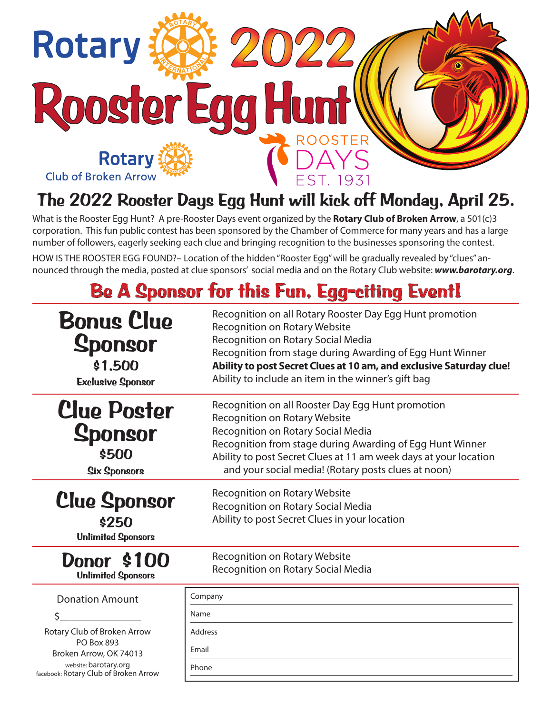

## **The 2022 Rooster Days Egg Hunt will kick off Monday, April 25.**

What is the Rooster Egg Hunt? A pre-Rooster Days event organized by the **Rotary Club of Broken Arrow**, a 501(c)3 corporation. This fun public contest has been sponsored by the Chamber of Commerce for many years and has a large number of followers, eagerly seeking each clue and bringing recognition to the businesses sponsoring the contest.

HOW IS THE ROOSTER EGG FOUND?– Location of the hidden "Rooster Egg" will be gradually revealed by "clues" announced through the media, posted at clue sponsors' social media and on the Rotary Club website: *www.barotary.org*.

# **Be A Sponsor for this Fun, Egg-citing Event!**

| <b>Bonus Clue</b><br><b>Sponsor</b><br>\$1,500<br><b>Exclusive Sponsor</b>                                                                   | Recognition on all Rotary Rooster Day Egg Hunt promotion<br><b>Recognition on Rotary Website</b><br>Recognition on Rotary Social Media<br>Recognition from stage during Awarding of Egg Hunt Winner<br>Ability to post Secret Clues at 10 am, and exclusive Saturday clue!<br>Ability to include an item in the winner's gift bag |
|----------------------------------------------------------------------------------------------------------------------------------------------|-----------------------------------------------------------------------------------------------------------------------------------------------------------------------------------------------------------------------------------------------------------------------------------------------------------------------------------|
| <b>Clue Poster</b><br><b>Sponsor</b><br>\$500<br><b>Six Sponsors</b>                                                                         | Recognition on all Rooster Day Egg Hunt promotion<br>Recognition on Rotary Website<br>Recognition on Rotary Social Media<br>Recognition from stage during Awarding of Egg Hunt Winner<br>Ability to post Secret Clues at 11 am week days at your location<br>and your social media! (Rotary posts clues at noon)                  |
| <b>Clue Sponsor</b><br>\$250<br><b>Unlimited Sponsors</b>                                                                                    | Recognition on Rotary Website<br>Recognition on Rotary Social Media<br>Ability to post Secret Clues in your location                                                                                                                                                                                                              |
| <b>Donor \$100</b><br><b>Unlimited Sponsors</b>                                                                                              | Recognition on Rotary Website<br>Recognition on Rotary Social Media                                                                                                                                                                                                                                                               |
| <b>Donation Amount</b>                                                                                                                       | Company                                                                                                                                                                                                                                                                                                                           |
|                                                                                                                                              | Name                                                                                                                                                                                                                                                                                                                              |
| Rotary Club of Broken Arrow<br><b>PO Box 893</b><br>Broken Arrow, OK 74013<br>website: barotary.org<br>facebook: Rotary Club of Broken Arrow | Address                                                                                                                                                                                                                                                                                                                           |
|                                                                                                                                              | Email                                                                                                                                                                                                                                                                                                                             |
|                                                                                                                                              | Phone                                                                                                                                                                                                                                                                                                                             |